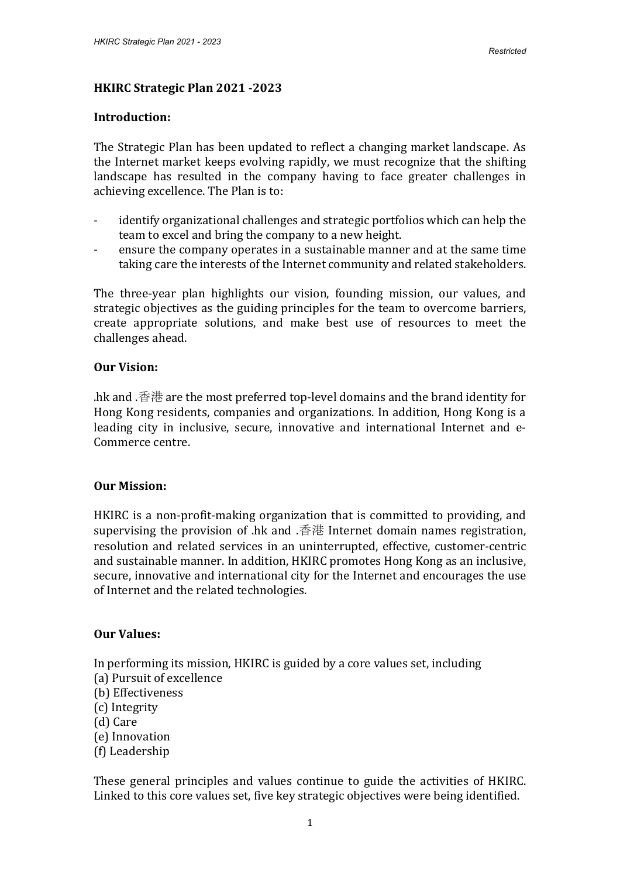### **HKIRC Strategic Plan 2021 -2023**

#### **Introduction:**

The Strategic Plan has been updated to reflect a changing market landscape. As the Internet market keeps evolving rapidly, we must recognize that the shifting landscape has resulted in the company having to face greater challenges in achieving excellence. The Plan is to:

- identify organizational challenges and strategic portfolios which can help the team to excel and bring the company to a new height.
- ensure the company operates in a sustainable manner and at the same time taking care the interests of the Internet community and related stakeholders.

The three-year plan highlights our vision, founding mission, our values, and strategic objectives as the guiding principles for the team to overcome barriers, create appropriate solutions, and make best use of resources to meet the challenges ahead.

#### **Our Vision:**

.hk and .香港 are the most preferred top-level domains and the brand identity for Hong Kong residents, companies and organizations. In addition, Hong Kong is a leading city in inclusive, secure, innovative and international Internet and e-Commerce centre.

### **Our Mission:**

HKIRC is a non-profit-making organization that is committed to providing, and supervising the provision of .hk and .香港 Internet domain names registration, resolution and related services in an uninterrupted, effective, customer-centric and sustainable manner. In addition, HKIRC promotes Hong Kong as an inclusive, secure, innovative and international city for the Internet and encourages the use of Internet and the related technologies.

### **Our Values:**

In performing its mission, HKIRC is guided by a core values set, including (a) Pursuit of excellence

- (b) Effectiveness
- (c) Integrity
- (d) Care
- (e) Innovation
- (f) Leadership

These general principles and values continue to guide the activities of HKIRC. Linked to this core values set, five key strategic objectives were being identified.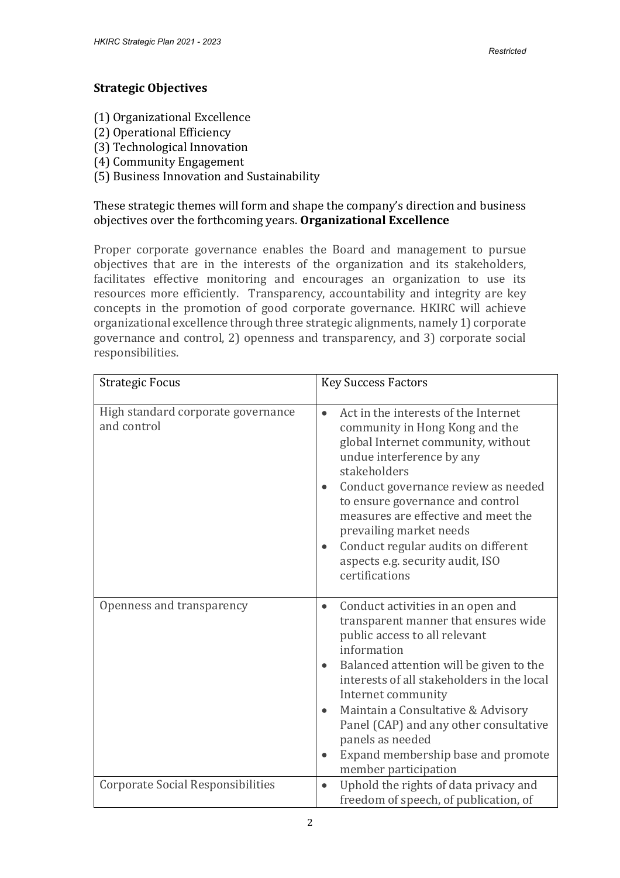## **Strategic Objectives**

- (1) Organizational Excellence
- (2) Operational Efficiency
- (3) Technological Innovation
- (4) Community Engagement
- (5) Business Innovation and Sustainability

These strategic themes will form and shape the company's direction and business objectives over the forthcoming years. **Organizational Excellence**

Proper corporate governance enables the Board and management to pursue objectives that are in the interests of the organization and its stakeholders, facilitates effective monitoring and encourages an organization to use its resources more efficiently. Transparency, accountability and integrity are key concepts in the promotion of good corporate governance. HKIRC will achieve organizational excellence through three strategic alignments, namely 1) corporate governance and control, 2) openness and transparency, and 3) corporate social responsibilities.

| <b>Strategic Focus</b>                            | <b>Key Success Factors</b>                                                                                                                                                                                                                                                                                                                                                                                       |
|---------------------------------------------------|------------------------------------------------------------------------------------------------------------------------------------------------------------------------------------------------------------------------------------------------------------------------------------------------------------------------------------------------------------------------------------------------------------------|
| High standard corporate governance<br>and control | Act in the interests of the Internet<br>$\bullet$<br>community in Hong Kong and the<br>global Internet community, without<br>undue interference by any<br>stakeholders<br>Conduct governance review as needed<br>to ensure governance and control<br>measures are effective and meet the<br>prevailing market needs<br>Conduct regular audits on different<br>aspects e.g. security audit, ISO<br>certifications |
| Openness and transparency                         | Conduct activities in an open and<br>transparent manner that ensures wide<br>public access to all relevant<br>information<br>Balanced attention will be given to the<br>interests of all stakeholders in the local<br>Internet community<br>Maintain a Consultative & Advisory<br>$\bullet$<br>Panel (CAP) and any other consultative<br>panels as needed<br>Expand membership base and promote                  |
| <b>Corporate Social Responsibilities</b>          | member participation                                                                                                                                                                                                                                                                                                                                                                                             |
|                                                   | Uphold the rights of data privacy and<br>$\bullet$<br>freedom of speech, of publication, of                                                                                                                                                                                                                                                                                                                      |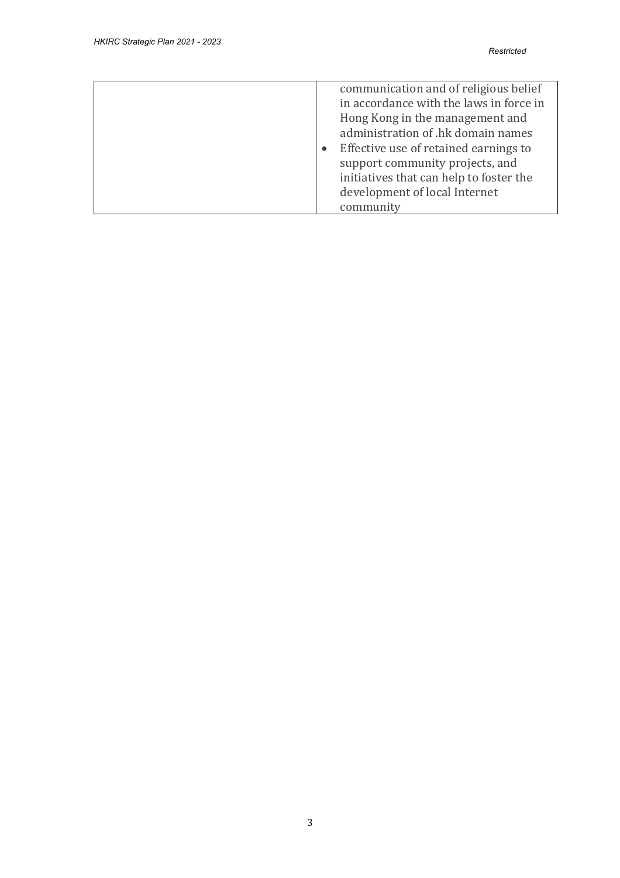| communication and of religious belief<br>in accordance with the laws in force in<br>Hong Kong in the management and<br>administration of .hk domain names<br>Effective use of retained earnings to<br>support community projects, and<br>initiatives that can help to foster the<br>development of local Internet<br>community |
|--------------------------------------------------------------------------------------------------------------------------------------------------------------------------------------------------------------------------------------------------------------------------------------------------------------------------------|
|--------------------------------------------------------------------------------------------------------------------------------------------------------------------------------------------------------------------------------------------------------------------------------------------------------------------------------|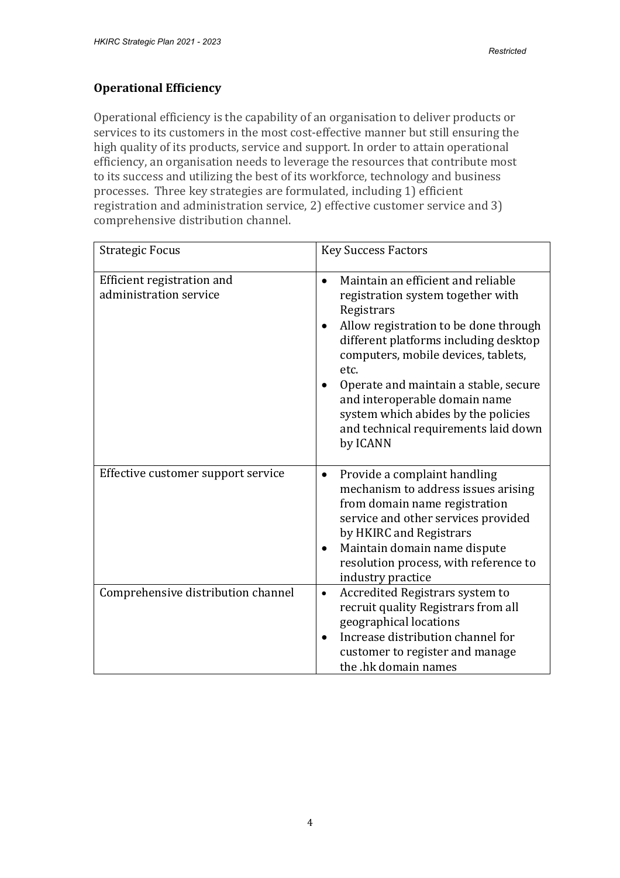## **Operational Efficiency**

Operational efficiency is the capability of an organisation to deliver products or services to its customers in the most cost-effective manner but still ensuring the high quality of its products, service and support. In order to attain operational efficiency, an organisation needs to leverage the resources that contribute most to its success and utilizing the best of its workforce, technology and business processes. Three key strategies are formulated, including 1) efficient registration and administration service, 2) effective customer service and 3) comprehensive distribution channel.

| <b>Strategic Focus</b>                               | <b>Key Success Factors</b>                                                                                                                                                                                                                                                                                                                                                                                            |
|------------------------------------------------------|-----------------------------------------------------------------------------------------------------------------------------------------------------------------------------------------------------------------------------------------------------------------------------------------------------------------------------------------------------------------------------------------------------------------------|
| Efficient registration and<br>administration service | Maintain an efficient and reliable<br>$\bullet$<br>registration system together with<br>Registrars<br>Allow registration to be done through<br>$\bullet$<br>different platforms including desktop<br>computers, mobile devices, tablets,<br>etc.<br>Operate and maintain a stable, secure<br>and interoperable domain name<br>system which abides by the policies<br>and technical requirements laid down<br>by ICANN |
| Effective customer support service                   | Provide a complaint handling<br>$\bullet$<br>mechanism to address issues arising<br>from domain name registration<br>service and other services provided<br>by HKIRC and Registrars<br>Maintain domain name dispute<br>$\bullet$<br>resolution process, with reference to<br>industry practice                                                                                                                        |
| Comprehensive distribution channel                   | Accredited Registrars system to<br>$\bullet$<br>recruit quality Registrars from all<br>geographical locations<br>Increase distribution channel for<br>customer to register and manage<br>the .hk domain names                                                                                                                                                                                                         |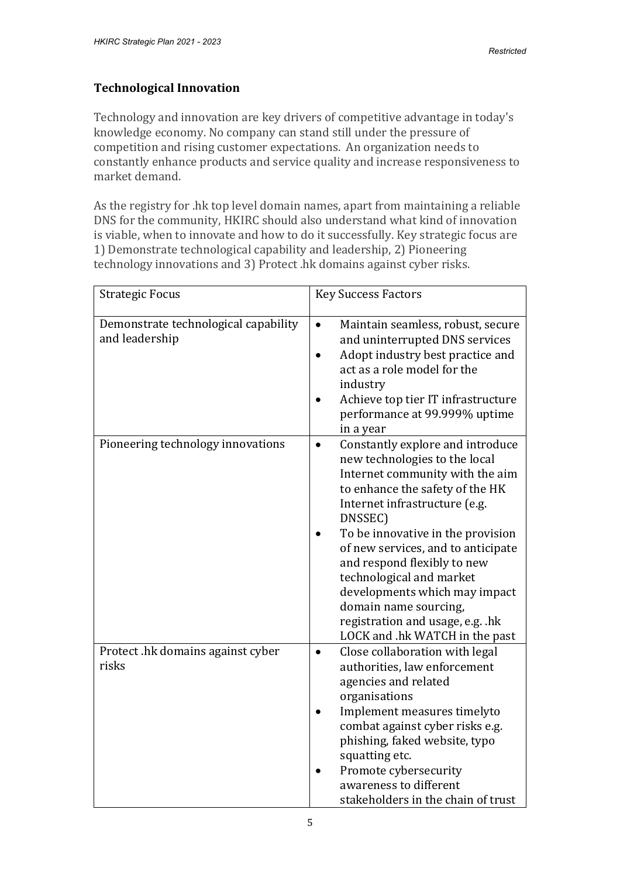## **Technological Innovation**

Technology and innovation are key drivers of competitive advantage in today's knowledge economy. No company can stand still under the pressure of competition and rising customer expectations. An organization needs to constantly enhance products and service quality and increase responsiveness to market demand.

As the registry for .hk top level domain names, apart from maintaining a reliable DNS for the community, HKIRC should also understand what kind of innovation is viable, when to innovate and how to do it successfully. Key strategic focus are 1) Demonstrate technological capability and leadership, 2) Pioneering technology innovations and 3) Protect .hk domains against cyber risks.

| <b>Strategic Focus</b>                                 | <b>Key Success Factors</b>                                                                                                                                                                                                                                                                                                                                                                                                                                             |
|--------------------------------------------------------|------------------------------------------------------------------------------------------------------------------------------------------------------------------------------------------------------------------------------------------------------------------------------------------------------------------------------------------------------------------------------------------------------------------------------------------------------------------------|
| Demonstrate technological capability<br>and leadership | Maintain seamless, robust, secure<br>and uninterrupted DNS services<br>Adopt industry best practice and<br>act as a role model for the<br>industry<br>Achieve top tier IT infrastructure<br>performance at 99.999% uptime<br>in a year                                                                                                                                                                                                                                 |
| Pioneering technology innovations                      | Constantly explore and introduce<br>$\bullet$<br>new technologies to the local<br>Internet community with the aim<br>to enhance the safety of the HK<br>Internet infrastructure (e.g.<br>DNSSEC)<br>To be innovative in the provision<br>of new services, and to anticipate<br>and respond flexibly to new<br>technological and market<br>developments which may impact<br>domain name sourcing,<br>registration and usage, e.g. .hk<br>LOCK and .hk WATCH in the past |
| Protect .hk domains against cyber<br>risks             | Close collaboration with legal<br>authorities, law enforcement<br>agencies and related<br>organisations<br>Implement measures timelyto<br>combat against cyber risks e.g.<br>phishing, faked website, typo<br>squatting etc.<br>Promote cybersecurity<br>awareness to different<br>stakeholders in the chain of trust                                                                                                                                                  |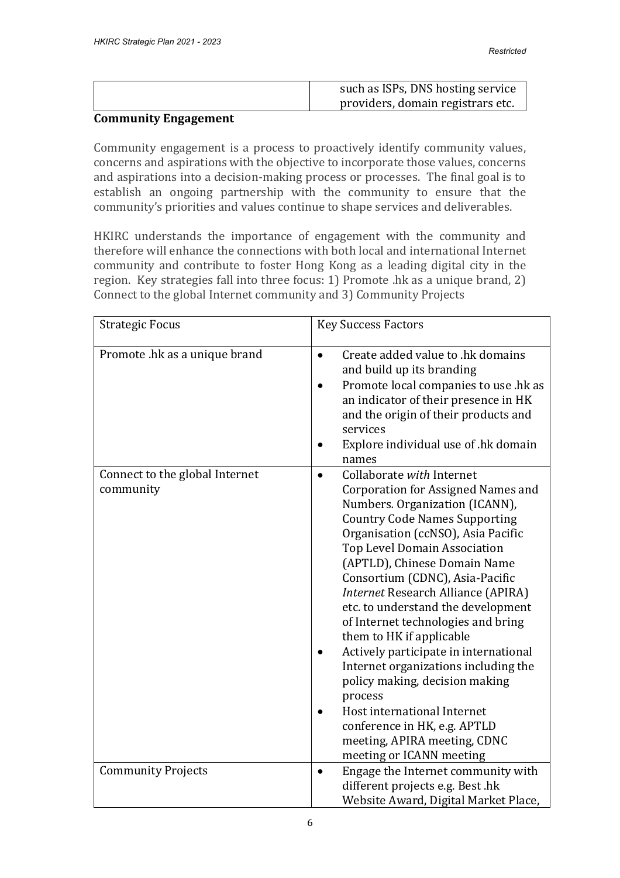| such as ISPs, DNS hosting service |
|-----------------------------------|
| providers, domain registrars etc. |

#### **Community Engagement**

Community engagement is a process to proactively identify community values, concerns and aspirations with the objective to incorporate those values, concerns and aspirations into a decision-making process or processes. The final goal is to establish an ongoing partnership with the community to ensure that the community's priorities and values continue to shape services and deliverables.

HKIRC understands the importance of engagement with the community and therefore will enhance the connections with both local and international Internet community and contribute to foster Hong Kong as a leading digital city in the region. Key strategies fall into three focus: 1) Promote .hk as a unique brand, 2) Connect to the global Internet community and 3) Community Projects

| <b>Strategic Focus</b>                      | <b>Key Success Factors</b>                                                                                                                                                                                                                                                                                                                                                                                                                                                                                                                                                                                                                                                                       |
|---------------------------------------------|--------------------------------------------------------------------------------------------------------------------------------------------------------------------------------------------------------------------------------------------------------------------------------------------------------------------------------------------------------------------------------------------------------------------------------------------------------------------------------------------------------------------------------------------------------------------------------------------------------------------------------------------------------------------------------------------------|
| Promote .hk as a unique brand               | Create added value to .hk domains<br>$\bullet$<br>and build up its branding<br>Promote local companies to use .hk as<br>an indicator of their presence in HK<br>and the origin of their products and<br>services<br>Explore individual use of .hk domain<br>names                                                                                                                                                                                                                                                                                                                                                                                                                                |
| Connect to the global Internet<br>community | Collaborate with Internet<br>Corporation for Assigned Names and<br>Numbers. Organization (ICANN),<br><b>Country Code Names Supporting</b><br>Organisation (ccNSO), Asia Pacific<br><b>Top Level Domain Association</b><br>(APTLD), Chinese Domain Name<br>Consortium (CDNC), Asia-Pacific<br>Internet Research Alliance (APIRA)<br>etc. to understand the development<br>of Internet technologies and bring<br>them to HK if applicable<br>Actively participate in international<br>Internet organizations including the<br>policy making, decision making<br>process<br>Host international Internet<br>conference in HK, e.g. APTLD<br>meeting, APIRA meeting, CDNC<br>meeting or ICANN meeting |
| <b>Community Projects</b>                   | Engage the Internet community with<br>different projects e.g. Best .hk                                                                                                                                                                                                                                                                                                                                                                                                                                                                                                                                                                                                                           |
|                                             | Website Award, Digital Market Place,                                                                                                                                                                                                                                                                                                                                                                                                                                                                                                                                                                                                                                                             |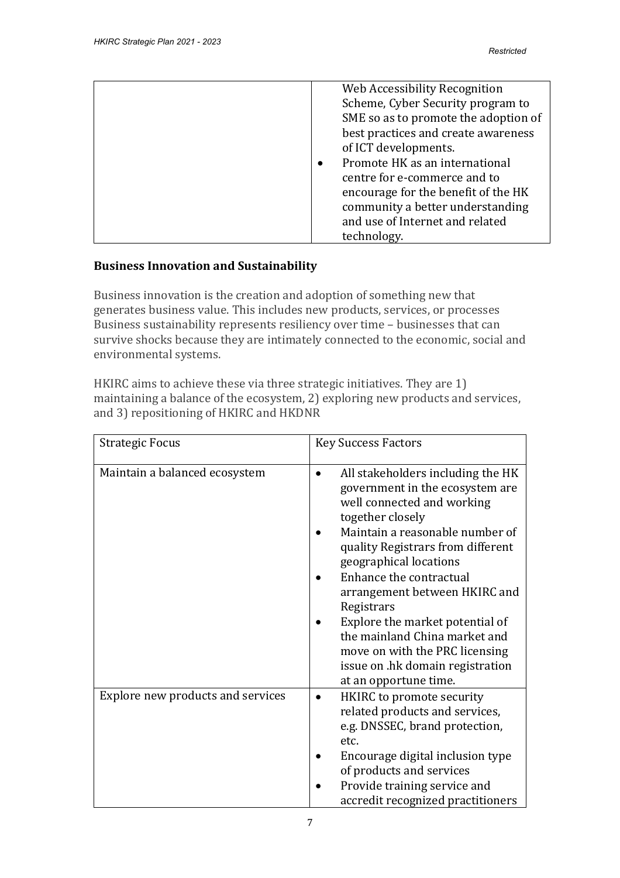|  | Web Accessibility Recognition<br>Scheme, Cyber Security program to<br>SME so as to promote the adoption of<br>best practices and create awareness<br>of ICT developments.<br>Promote HK as an international<br>centre for e-commerce and to<br>encourage for the benefit of the HK<br>community a better understanding<br>and use of Internet and related<br>technology. |
|--|--------------------------------------------------------------------------------------------------------------------------------------------------------------------------------------------------------------------------------------------------------------------------------------------------------------------------------------------------------------------------|
|--|--------------------------------------------------------------------------------------------------------------------------------------------------------------------------------------------------------------------------------------------------------------------------------------------------------------------------------------------------------------------------|

# **Business Innovation and Sustainability**

Business innovation is the creation and adoption of something new that generates business value. This includes new products, services, or processes Business sustainability represents resiliency over time – businesses that can survive shocks because they are intimately connected to the economic, social and environmental systems.

HKIRC aims to achieve these via three strategic initiatives. They are 1) maintaining a balance of the ecosystem, 2) exploring new products and services, and 3) repositioning of HKIRC and HKDNR

| <b>Strategic Focus</b>            | <b>Key Success Factors</b>                                                                                                                                      |
|-----------------------------------|-----------------------------------------------------------------------------------------------------------------------------------------------------------------|
| Maintain a balanced ecosystem     | All stakeholders including the HK<br>government in the ecosystem are<br>well connected and working<br>together closely                                          |
|                                   | Maintain a reasonable number of<br>quality Registrars from different<br>geographical locations                                                                  |
|                                   | Enhance the contractual<br>arrangement between HKIRC and<br>Registrars                                                                                          |
|                                   | Explore the market potential of<br>the mainland China market and<br>move on with the PRC licensing<br>issue on .hk domain registration<br>at an opportune time. |
| Explore new products and services | HKIRC to promote security<br>related products and services,<br>e.g. DNSSEC, brand protection,<br>etc.                                                           |
|                                   | Encourage digital inclusion type<br>of products and services<br>Provide training service and<br>accredit recognized practitioners                               |